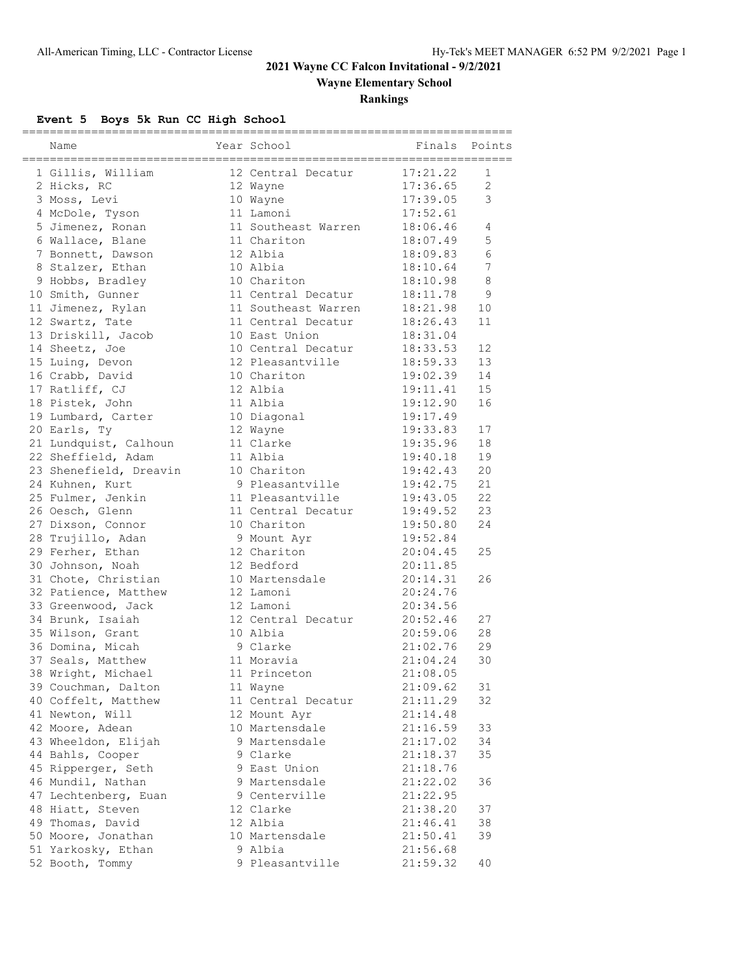### **2021 Wayne CC Falcon Invitational - 9/2/2021**

**Wayne Elementary School**

### **Rankings**

## **Event 5 Boys 5k Run CC High School**

| Name                   | ======================<br>Year School | Finals   | Points         |
|------------------------|---------------------------------------|----------|----------------|
| 1 Gillis, William      | 12 Central Decatur                    | 17:21.22 | 1              |
| 2 Hicks, RC            | 12 Wayne                              | 17:36.65 | $\overline{2}$ |
| 3 Moss, Levi           | 10 Wayne                              | 17:39.05 | 3              |
| 4 McDole, Tyson        | 11 Lamoni                             | 17:52.61 |                |
| 5 Jimenez, Ronan       | 11 Southeast Warren 18:06.46          |          | 4              |
| 6 Wallace, Blane       | 11 Chariton                           | 18:07.49 | 5              |
| 7 Bonnett, Dawson      | 12 Albia                              | 18:09.83 | 6              |
| 8 Stalzer, Ethan       | 10 Albia                              | 18:10.64 | 7              |
| 9 Hobbs, Bradley       | 10 Chariton                           | 18:10.98 | 8              |
| 10 Smith, Gunner       | 11 Central Decatur                    | 18:11.78 | 9              |
| 11 Jimenez, Rylan      | 11 Southeast Warren                   | 18:21.98 | 10             |
| 12 Swartz, Tate        | 11 Central Decatur                    | 18:26.43 | 11             |
| 13 Driskill, Jacob     | 10 East Union                         | 18:31.04 |                |
| 14 Sheetz, Joe         | 10 Central Decatur                    | 18:33.53 | 12             |
| 15 Luing, Devon        | 12 Pleasantville                      | 18:59.33 | 13             |
| 16 Crabb, David        | 10 Chariton                           | 19:02.39 | 14             |
| 17 Ratliff, CJ         | 12 Albia                              | 19:11.41 | 15             |
| 18 Pistek, John        | 11 Albia                              | 19:12.90 | 16             |
| 19 Lumbard, Carter     | 10 Diagonal                           | 19:17.49 |                |
| 20 Earls, Tv           | 12 Wayne                              | 19:33.83 | 17             |
| 21 Lundquist, Calhoun  | 11 Clarke                             | 19:35.96 | 18             |
| 22 Sheffield, Adam     | 11 Albia                              | 19:40.18 | 19             |
| 23 Shenefield, Dreavin | 10 Chariton                           | 19:42.43 | 20             |
| 24 Kuhnen, Kurt        | 9 Pleasantville                       | 19:42.75 | 21             |
| 25 Fulmer, Jenkin      | 11 Pleasantville                      | 19:43.05 | 22             |
| 26 Oesch, Glenn        | 11 Central Decatur                    | 19:49.52 | 23             |
| 27 Dixson, Connor      | 10 Chariton                           | 19:50.80 | 24             |
| 28 Trujillo, Adan      | 9 Mount Ayr                           | 19:52.84 |                |
| 29 Ferher, Ethan       | 12 Chariton                           | 20:04.45 | 25             |
| 30 Johnson, Noah       | 12 Bedford                            | 20:11.85 |                |
| 31 Chote, Christian    | 10 Martensdale                        | 20:14.31 | 26             |
| 32 Patience, Matthew   | 12 Lamoni                             | 20:24.76 |                |
| 33 Greenwood, Jack     | 12 Lamoni                             | 20:34.56 |                |
| 34 Brunk, Isaiah       | 12 Central Decatur                    | 20:52.46 | 27             |
| 35 Wilson, Grant       | 10 Albia                              | 20:59.06 | 28             |
| 36 Domina, Micah       | 9 Clarke                              | 21:02.76 | 29             |
| 37 Seals, Matthew      | 11 Moravia                            | 21:04.24 | 30             |
| 38 Wright, Michael     | 11 Princeton                          | 21:08.05 |                |
| 39 Couchman, Dalton    | 11 Wayne                              | 21:09.62 | 31             |
| 40 Coffelt, Matthew    | 11 Central Decatur                    | 21:11.29 | 32             |
| 41 Newton, Will        | 12 Mount Ayr                          | 21:14.48 |                |
| 42 Moore, Adean        | 10 Martensdale                        | 21:16.59 | 33             |
| 43 Wheeldon, Elijah    | 9 Martensdale                         | 21:17.02 | 34             |
| 44 Bahls, Cooper       | 9 Clarke                              | 21:18.37 | 35             |
| 45 Ripperger, Seth     | 9 East Union                          | 21:18.76 |                |
| 46 Mundil, Nathan      | 9 Martensdale                         | 21:22.02 | 36             |
| 47 Lechtenberg, Euan   | 9 Centerville                         | 21:22.95 |                |
| 48 Hiatt, Steven       | 12 Clarke                             | 21:38.20 | 37             |
| 49 Thomas, David       | 12 Albia                              | 21:46.41 | 38             |
| 50 Moore, Jonathan     | 10 Martensdale                        | 21:50.41 | 39             |
| 51 Yarkosky, Ethan     | 9 Albia                               | 21:56.68 |                |
| 52 Booth, Tommy        | 9 Pleasantville                       | 21:59.32 | 40             |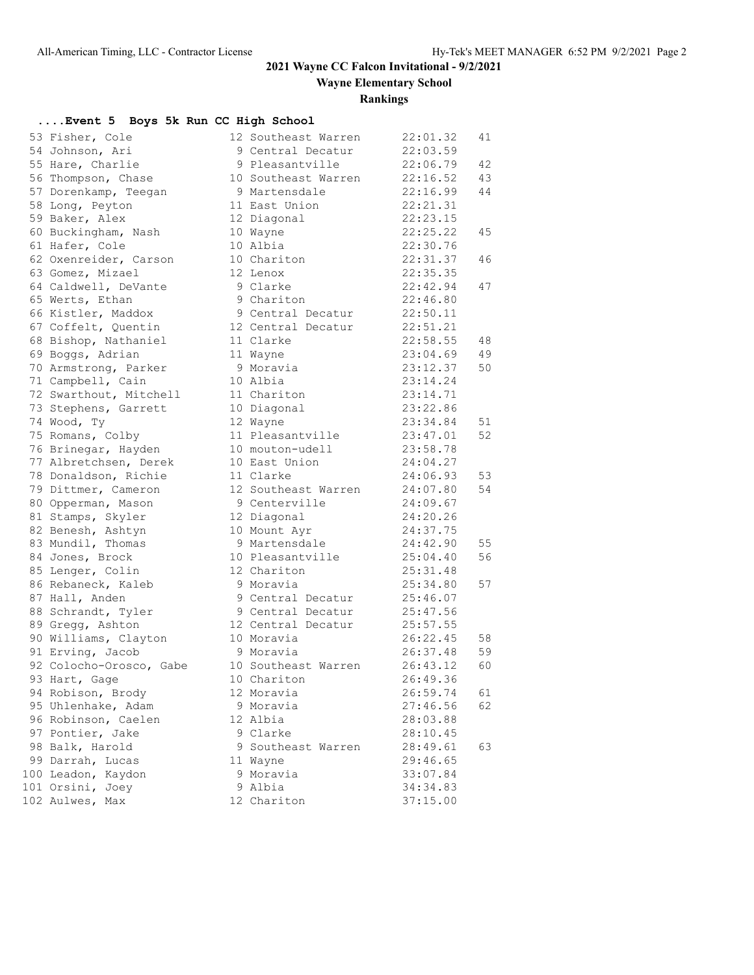### **2021 Wayne CC Falcon Invitational - 9/2/2021**

**Wayne Elementary School**

### **Rankings**

### **....Event 5 Boys 5k Run CC High School**

| 53 | Fisher, Cole                                    |
|----|-------------------------------------------------|
| 54 | Johnson, Ari                                    |
| 55 | Hare, Charlie                                   |
| 56 | Thompson, Chase                                 |
| 57 | Dorenkamp, Teegan                               |
| 58 |                                                 |
| 59 | Long, Peyton<br>Baker, Alex                     |
| 60 | Buckingham, Nash                                |
| 61 | Hafer, Cole                                     |
| 62 | Oxenreider, Carson                              |
| 63 | Gomez, Mizael                                   |
| 64 | Caldwell, DeVante                               |
| 65 | Werts, Ethan                                    |
| 66 | Kistler, Maddox                                 |
| 67 | Coffelt, Quentin                                |
| 68 | Bishop, Nathaniel                               |
| 69 | Boggs, Adrian                                   |
| 70 | Armstrong, Parker                               |
| 71 | Campbell, Cain                                  |
| 72 | Swarthout, Mitchell                             |
| 73 | Stephens, Garrett                               |
| 74 | Wood, Ty                                        |
| 75 | Romans, Colby                                   |
| 76 | Brinegar, Hayden                                |
| 77 | Albretchsen, Derek                              |
| 78 | Donaldson, Richie                               |
| 79 | Dittmer, Cameron                                |
| 80 | Opperman, Mason                                 |
| 81 | Stamps, Skyler                                  |
| 82 | Benesh, Ashtyn<br>Mundil, Thomas                |
| 83 |                                                 |
| 84 | Jones, Brock                                    |
| 85 | Lenger, Colin                                   |
| 86 | Rebaneck, Kaleb                                 |
| 87 | Hall, Anden                                     |
| 88 | Schrandt, Tyler                                 |
| 89 | Gregg, Ashton                                   |
| 90 | Williams, Clayton                               |
|    | 91 Erving, Jacob                                |
|    | 92 Colocho-Orosco, Gabe                         |
| 93 | Hart, Gage                                      |
| 94 | Robison, Brody                                  |
| 95 | Uhlenhake, Adam                                 |
| 96 | Robinson, Caelen                                |
| 97 | Pontier, Jake                                   |
| 98 | Balk, Harold                                    |
| 99 | Darrah, Lucas                                   |
|    | Leadon,<br>00 Leadon, Kaydon<br>01 Orsini, Joey |
|    |                                                 |
| 02 | Aulwes, Max                                     |

| 53 Fisher, Cole         | 12 Southeast Warren | 22:01.32 | 41 |
|-------------------------|---------------------|----------|----|
| 54 Johnson, Ari         | 9 Central Decatur   | 22:03.59 |    |
| 55 Hare, Charlie        | 9 Pleasantville     | 22:06.79 | 42 |
| 56 Thompson, Chase      | 10 Southeast Warren | 22:16.52 | 43 |
| 57 Dorenkamp, Teegan    | 9 Martensdale       | 22:16.99 | 44 |
| 58 Long, Peyton         | 11 East Union       | 22:21.31 |    |
| 59 Baker, Alex          | 12 Diagonal         | 22:23.15 |    |
| 60 Buckingham, Nash     | 10 Wayne            | 22:25.22 | 45 |
| 61 Hafer, Cole          | 10 Albia            | 22:30.76 |    |
| 62 Oxenreider, Carson   | 10 Chariton         | 22:31.37 | 46 |
| 63 Gomez, Mizael        | 12 Lenox            | 22:35.35 |    |
| 64 Caldwell, DeVante    | 9 Clarke            | 22:42.94 | 47 |
| 65 Werts, Ethan         | 9 Chariton          | 22:46.80 |    |
| 66 Kistler, Maddox      | 9 Central Decatur   | 22:50.11 |    |
| 67 Coffelt, Quentin     | 12 Central Decatur  | 22:51.21 |    |
| 68 Bishop, Nathaniel    | 11 Clarke           | 22:58.55 | 48 |
| 69 Boggs, Adrian        | 11 Wayne            | 23:04.69 | 49 |
| 70 Armstrong, Parker    | 9 Moravia           | 23:12.37 | 50 |
| 71 Campbell, Cain       | 10 Albia            | 23:14.24 |    |
| 72 Swarthout, Mitchell  | 11 Chariton         | 23:14.71 |    |
| 73 Stephens, Garrett    | 10 Diagonal         | 23:22.86 |    |
| 74 Wood, Ty             | 12 Wayne            | 23:34.84 | 51 |
| 75 Romans, Colby        | 11 Pleasantville    | 23:47.01 | 52 |
| 76 Brinegar, Hayden     | 10 mouton-udell     | 23:58.78 |    |
| 77 Albretchsen, Derek   | 10 East Union       | 24:04.27 |    |
| 78 Donaldson, Richie    | 11 Clarke           | 24:06.93 | 53 |
| 79 Dittmer, Cameron     | 12 Southeast Warren | 24:07.80 | 54 |
| 80 Opperman, Mason      | 9 Centerville       | 24:09.67 |    |
| 81 Stamps, Skyler       | 12 Diagonal         | 24:20.26 |    |
| 82 Benesh, Ashtyn       | 10 Mount Ayr        | 24:37.75 |    |
| 83 Mundil, Thomas       | 9 Martensdale       | 24:42.90 | 55 |
| 84 Jones, Brock         | 10 Pleasantville    | 25:04.40 | 56 |
| 85 Lenger, Colin        | 12 Chariton         | 25:31.48 |    |
| 86 Rebaneck, Kaleb      | 9 Moravia           | 25:34.80 | 57 |
| 87 Hall, Anden          | 9 Central Decatur   | 25:46.07 |    |
| 88 Schrandt, Tyler      | 9 Central Decatur   | 25:47.56 |    |
| 89 Gregg, Ashton        | 12 Central Decatur  | 25:57.55 |    |
| 90 Williams, Clayton    | 10 Moravia          | 26:22.45 | 58 |
| 91 Erving, Jacob        | 9 Moravia           | 26:37.48 | 59 |
| 92 Colocho-Orosco, Gabe | 10 Southeast Warren | 26:43.12 | 60 |
| 93 Hart, Gage           | 10 Chariton         | 26:49.36 |    |
| 94 Robison, Brody       | 12 Moravia          | 26:59.74 | 61 |
| 95 Uhlenhake, Adam      | 9 Moravia           | 27:46.56 | 62 |
| 96 Robinson, Caelen     | 12 Albia            | 28:03.88 |    |
| 97 Pontier, Jake        | 9 Clarke            | 28:10.45 |    |
| 98 Balk, Harold         | 9 Southeast Warren  | 28:49.61 | 63 |
| 99 Darrah, Lucas        | 11 Wayne            | 29:46.65 |    |
| 100 Leadon, Kaydon      | 9 Moravia           | 33:07.84 |    |
| 101 Orsini, Joey        | 9 Albia             | 34:34.83 |    |
| 102 Aulwes, Max         | 12 Chariton         | 37:15.00 |    |
|                         |                     |          |    |